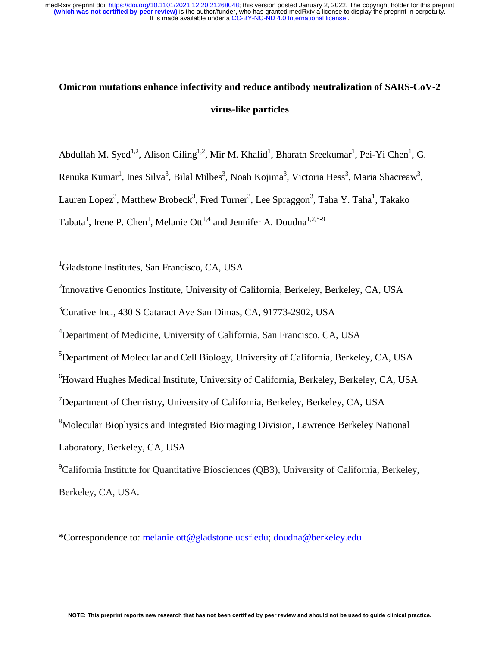# **Omicron mutations enhance infectivity and reduce antibody neutralization of SARS-CoV-2 virus-like particles**

Abdullah M. Syed<sup>1,2</sup>, Alison Ciling<sup>1,2</sup>, Mir M. Khalid<sup>1</sup>, Bharath Sreekumar<sup>1</sup>, Pei-Yi Chen<sup>1</sup>, G. Renuka Kumar<sup>1</sup>, Ines Silva<sup>3</sup>, Bilal Milbes<sup>3</sup>, Noah Kojima<sup>3</sup>, Victoria Hess<sup>3</sup>, Maria Shacreaw<sup>3</sup>, Lauren Lopez<sup>3</sup>, Matthew Brobeck<sup>3</sup>, Fred Turner<sup>3</sup>, Lee Spraggon<sup>3</sup>, Taha Y. Taha<sup>1</sup>, Takako Tabata<sup>1</sup>, Irene P. Chen<sup>1</sup>, Melanie Ott<sup>1,4</sup> and Jennifer A. Doudna<sup>1,2,5-9</sup>

1 Gladstone Institutes, San Francisco, CA, USA

<sup>2</sup>Innovative Genomics Institute, University of California, Berkeley, Berkeley, CA, USA

<sup>3</sup>Curative Inc., 430 S Cataract Ave San Dimas, CA, 91773-2902, USA

4 Department of Medicine, University of California, San Francisco, CA, USA

<sup>5</sup>Department of Molecular and Cell Biology, University of California, Berkeley, CA, USA

6 Howard Hughes Medical Institute, University of California, Berkeley, Berkeley, CA, USA

<sup>7</sup>Department of Chemistry, University of California, Berkeley, Berkeley, CA, USA

<sup>8</sup>Molecular Biophysics and Integrated Bioimaging Division, Lawrence Berkeley National

Laboratory, Berkeley, CA, USA

<sup>9</sup>California Institute for Quantitative Biosciences (QB3), University of California, Berkeley, Berkeley, CA, USA.

\*Correspondence to: melanie.ott@gladstone.ucsf.edu; doudna@berkeley.edu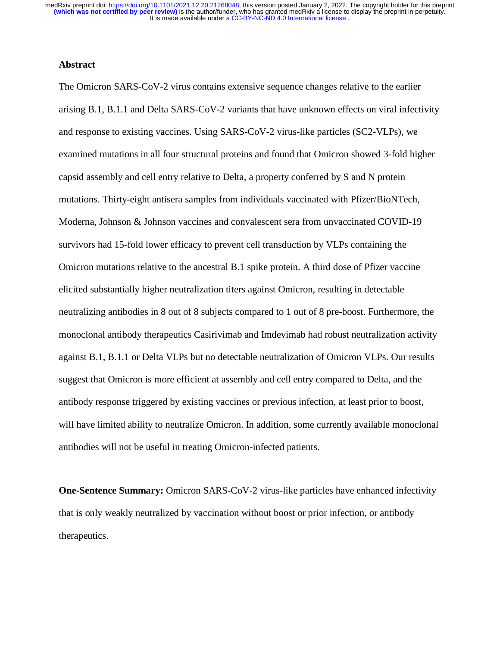## **Abstract**

The Omicron SARS-CoV-2 virus contains extensive sequence changes relative to the earlier arising B.1, B.1.1 and Delta SARS-CoV-2 variants that have unknown effects on viral infectivity and response to existing vaccines. Using SARS-CoV-2 virus-like particles (SC2-VLPs), we examined mutations in all four structural proteins and found that Omicron showed 3-fold higher capsid assembly and cell entry relative to Delta, a property conferred by S and N protein mutations. Thirty-eight antisera samples from individuals vaccinated with Pfizer/BioNTech, Moderna, Johnson & Johnson vaccines and convalescent sera from unvaccinated COVID-19 survivors had 15-fold lower efficacy to prevent cell transduction by VLPs containing the Omicron mutations relative to the ancestral B.1 spike protein. A third dose of Pfizer vaccine elicited substantially higher neutralization titers against Omicron, resulting in detectable neutralizing antibodies in 8 out of 8 subjects compared to 1 out of 8 pre-boost. Furthermore, the monoclonal antibody therapeutics Casirivimab and Imdevimab had robust neutralization activity against B.1, B.1.1 or Delta VLPs but no detectable neutralization of Omicron VLPs. Our results suggest that Omicron is more efficient at assembly and cell entry compared to Delta, and the antibody response triggered by existing vaccines or previous infection, at least prior to boost, will have limited ability to neutralize Omicron. In addition, some currently available monoclonal antibodies will not be useful in treating Omicron-infected patients.

**One-Sentence Summary:** Omicron SARS-CoV-2 virus-like particles have enhanced infectivity that is only weakly neutralized by vaccination without boost or prior infection, or antibody therapeutics.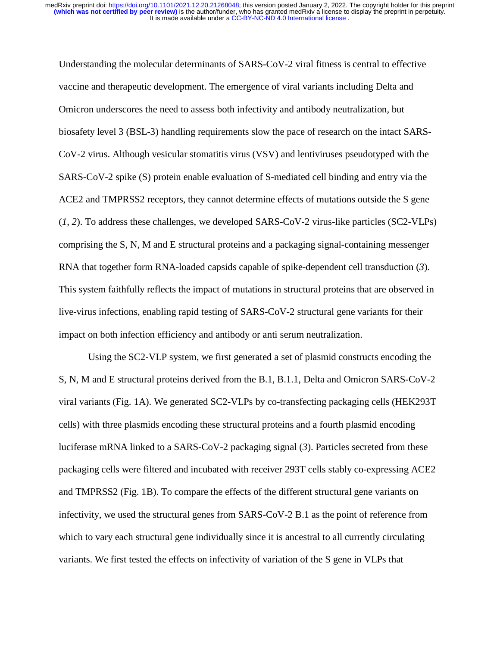Understanding the molecular determinants of SARS-CoV-2 viral fitness is central to effective vaccine and therapeutic development. The emergence of viral variants including Delta and Omicron underscores the need to assess both infectivity and antibody neutralization, but biosafety level 3 (BSL-3) handling requirements slow the pace of research on the intact SARS-CoV-2 virus. Although vesicular stomatitis virus (VSV) and lentiviruses pseudotyped with the SARS-CoV-2 spike (S) protein enable evaluation of S-mediated cell binding and entry via the ACE2 and TMPRSS2 receptors, they cannot determine effects of mutations outside the S gene (*1*, *2*). To address these challenges, we developed SARS-CoV-2 virus-like particles (SC2-VLPs) comprising the S, N, M and E structural proteins and a packaging signal-containing messenger RNA that together form RNA-loaded capsids capable of spike-dependent cell transduction (*3*). This system faithfully reflects the impact of mutations in structural proteins that are observed in live-virus infections, enabling rapid testing of SARS-CoV-2 structural gene variants for their impact on both infection efficiency and antibody or anti serum neutralization.

Using the SC2-VLP system, we first generated a set of plasmid constructs encoding the S, N, M and E structural proteins derived from the B.1, B.1.1, Delta and Omicron SARS-CoV-2 viral variants (Fig. 1A). We generated SC2-VLPs by co-transfecting packaging cells (HEK293T cells) with three plasmids encoding these structural proteins and a fourth plasmid encoding luciferase mRNA linked to a SARS-CoV-2 packaging signal (*3*). Particles secreted from these packaging cells were filtered and incubated with receiver 293T cells stably co-expressing ACE2 and TMPRSS2 (Fig. 1B). To compare the effects of the different structural gene variants on infectivity, we used the structural genes from SARS-CoV-2 B.1 as the point of reference from which to vary each structural gene individually since it is ancestral to all currently circulating variants. We first tested the effects on infectivity of variation of the S gene in VLPs that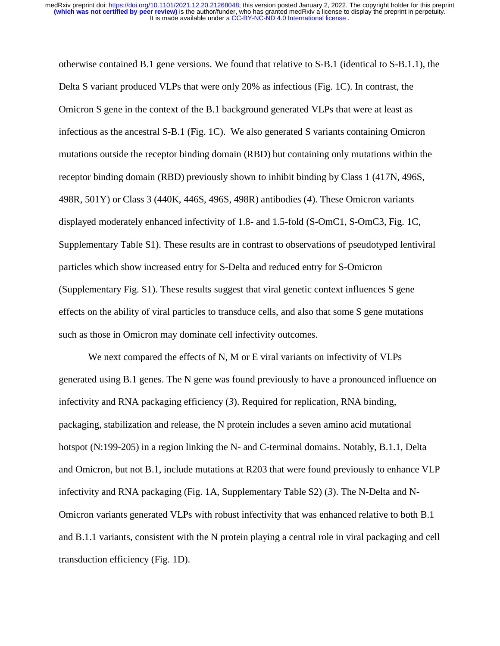otherwise contained B.1 gene versions. We found that relative to S-B.1 (identical to S-B.1.1), the Delta S variant produced VLPs that were only 20% as infectious (Fig. 1C). In contrast, the Omicron S gene in the context of the B.1 background generated VLPs that were at least as infectious as the ancestral S-B.1 (Fig. 1C). We also generated S variants containing Omicron mutations outside the receptor binding domain (RBD) but containing only mutations within the receptor binding domain (RBD) previously shown to inhibit binding by Class 1 (417N, 496S, 498R, 501Y) or Class 3 (440K, 446S, 496S, 498R) antibodies (*4*). These Omicron variants displayed moderately enhanced infectivity of 1.8- and 1.5-fold (S-OmC1, S-OmC3, Fig. 1C, Supplementary Table S1). These results are in contrast to observations of pseudotyped lentiviral particles which show increased entry for S-Delta and reduced entry for S-Omicron (Supplementary Fig. S1). These results suggest that viral genetic context influences S gene effects on the ability of viral particles to transduce cells, and also that some S gene mutations such as those in Omicron may dominate cell infectivity outcomes.

We next compared the effects of N, M or E viral variants on infectivity of VLPs generated using B.1 genes. The N gene was found previously to have a pronounced influence on infectivity and RNA packaging efficiency (*3*). Required for replication, RNA binding, packaging, stabilization and release, the N protein includes a seven amino acid mutational hotspot (N:199-205) in a region linking the N- and C-terminal domains. Notably, B.1.1, Delta and Omicron, but not B.1, include mutations at R203 that were found previously to enhance VLP infectivity and RNA packaging (Fig. 1A, Supplementary Table S2) (*3*). The N-Delta and N-Omicron variants generated VLPs with robust infectivity that was enhanced relative to both B.1 and B.1.1 variants, consistent with the N protein playing a central role in viral packaging and cell transduction efficiency (Fig. 1D).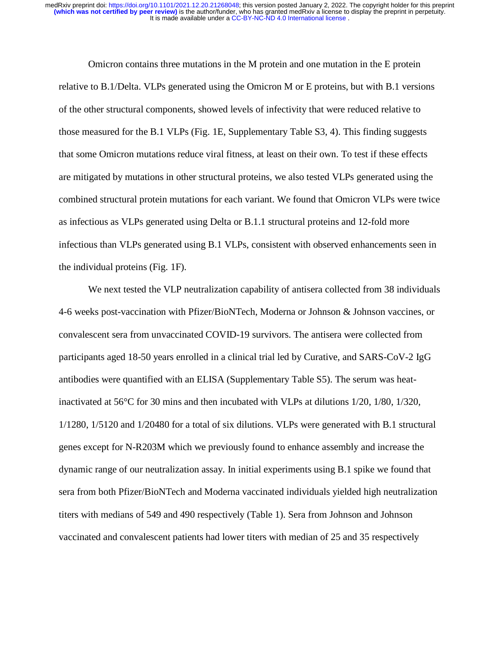Omicron contains three mutations in the M protein and one mutation in the E protein relative to B.1/Delta. VLPs generated using the Omicron M or E proteins, but with B.1 versions of the other structural components, showed levels of infectivity that were reduced relative to those measured for the B.1 VLPs (Fig. 1E, Supplementary Table S3, 4). This finding suggests that some Omicron mutations reduce viral fitness, at least on their own. To test if these effects are mitigated by mutations in other structural proteins, we also tested VLPs generated using the combined structural protein mutations for each variant. We found that Omicron VLPs were twice as infectious as VLPs generated using Delta or B.1.1 structural proteins and 12-fold more infectious than VLPs generated using B.1 VLPs, consistent with observed enhancements seen in the individual proteins (Fig. 1F).

We next tested the VLP neutralization capability of antisera collected from 38 individuals 4-6 weeks post-vaccination with Pfizer/BioNTech, Moderna or Johnson & Johnson vaccines, or convalescent sera from unvaccinated COVID-19 survivors. The antisera were collected from participants aged 18-50 years enrolled in a clinical trial led by Curative, and SARS-CoV-2 IgG antibodies were quantified with an ELISA (Supplementary Table S5). The serum was heatinactivated at 56°C for 30 mins and then incubated with VLPs at dilutions 1/20, 1/80, 1/320, 1/1280, 1/5120 and 1/20480 for a total of six dilutions. VLPs were generated with B.1 structural genes except for N-R203M which we previously found to enhance assembly and increase the dynamic range of our neutralization assay. In initial experiments using B.1 spike we found that sera from both Pfizer/BioNTech and Moderna vaccinated individuals yielded high neutralization titers with medians of 549 and 490 respectively (Table 1). Sera from Johnson and Johnson vaccinated and convalescent patients had lower titers with median of 25 and 35 respectively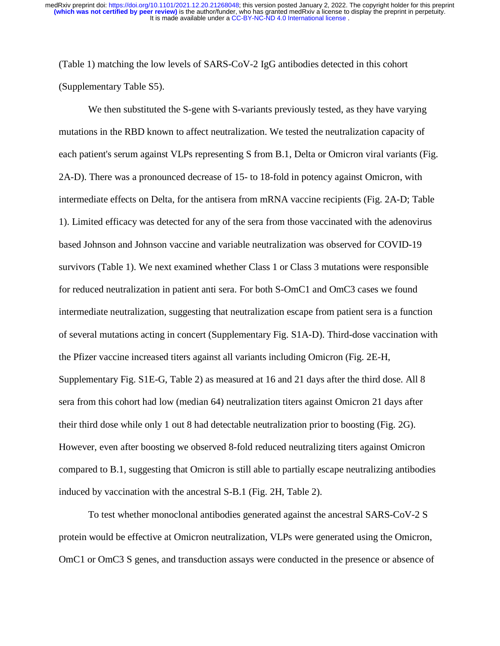(Table 1) matching the low levels of SARS-CoV-2 IgG antibodies detected in this cohort (Supplementary Table S5).

We then substituted the S-gene with S-variants previously tested, as they have varying mutations in the RBD known to affect neutralization. We tested the neutralization capacity of each patient's serum against VLPs representing S from B.1, Delta or Omicron viral variants (Fig. 2A-D). There was a pronounced decrease of 15- to 18-fold in potency against Omicron, with intermediate effects on Delta, for the antisera from mRNA vaccine recipients (Fig. 2A-D; Table 1). Limited efficacy was detected for any of the sera from those vaccinated with the adenovirus based Johnson and Johnson vaccine and variable neutralization was observed for COVID-19 survivors (Table 1). We next examined whether Class 1 or Class 3 mutations were responsible for reduced neutralization in patient anti sera. For both S-OmC1 and OmC3 cases we found intermediate neutralization, suggesting that neutralization escape from patient sera is a function of several mutations acting in concert (Supplementary Fig. S1A-D). Third-dose vaccination with the Pfizer vaccine increased titers against all variants including Omicron (Fig. 2E-H, Supplementary Fig. S1E-G, Table 2) as measured at 16 and 21 days after the third dose. All 8 sera from this cohort had low (median 64) neutralization titers against Omicron 21 days after their third dose while only 1 out 8 had detectable neutralization prior to boosting (Fig. 2G). However, even after boosting we observed 8-fold reduced neutralizing titers against Omicron compared to B.1, suggesting that Omicron is still able to partially escape neutralizing antibodies induced by vaccination with the ancestral S-B.1 (Fig. 2H, Table 2).

To test whether monoclonal antibodies generated against the ancestral SARS-CoV-2 S protein would be effective at Omicron neutralization, VLPs were generated using the Omicron, OmC1 or OmC3 S genes, and transduction assays were conducted in the presence or absence of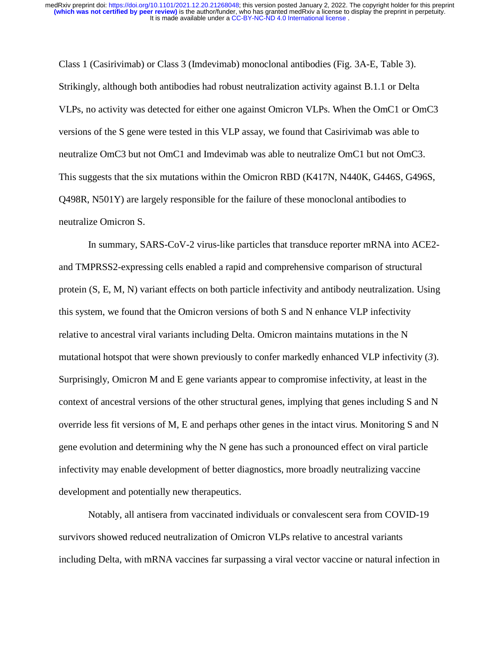Class 1 (Casirivimab) or Class 3 (Imdevimab) monoclonal antibodies (Fig. 3A-E, Table 3). Strikingly, although both antibodies had robust neutralization activity against B.1.1 or Delta VLPs, no activity was detected for either one against Omicron VLPs. When the OmC1 or OmC3 versions of the S gene were tested in this VLP assay, we found that Casirivimab was able to neutralize OmC3 but not OmC1 and Imdevimab was able to neutralize OmC1 but not OmC3. This suggests that the six mutations within the Omicron RBD (K417N, N440K, G446S, G496S, Q498R, N501Y) are largely responsible for the failure of these monoclonal antibodies to neutralize Omicron S.

In summary, SARS-CoV-2 virus-like particles that transduce reporter mRNA into ACE2 and TMPRSS2-expressing cells enabled a rapid and comprehensive comparison of structural protein (S, E, M, N) variant effects on both particle infectivity and antibody neutralization. Using this system, we found that the Omicron versions of both S and N enhance VLP infectivity relative to ancestral viral variants including Delta. Omicron maintains mutations in the N mutational hotspot that were shown previously to confer markedly enhanced VLP infectivity (*3*). Surprisingly, Omicron M and E gene variants appear to compromise infectivity, at least in the context of ancestral versions of the other structural genes, implying that genes including S and N override less fit versions of M, E and perhaps other genes in the intact virus. Monitoring S and N gene evolution and determining why the N gene has such a pronounced effect on viral particle infectivity may enable development of better diagnostics, more broadly neutralizing vaccine development and potentially new therapeutics.

Notably, all antisera from vaccinated individuals or convalescent sera from COVID-19 survivors showed reduced neutralization of Omicron VLPs relative to ancestral variants including Delta, with mRNA vaccines far surpassing a viral vector vaccine or natural infection in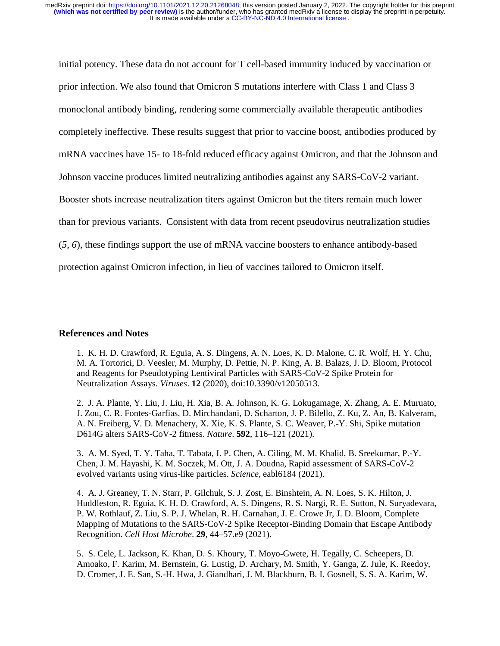initial potency. These data do not account for T cell-based immunity induced by vaccination or prior infection. We also found that Omicron S mutations interfere with Class 1 and Class 3 monoclonal antibody binding, rendering some commercially available therapeutic antibodies completely ineffective. These results suggest that prior to vaccine boost, antibodies produced by mRNA vaccines have 15- to 18-fold reduced efficacy against Omicron, and that the Johnson and Johnson vaccine produces limited neutralizing antibodies against any SARS-CoV-2 variant. Booster shots increase neutralization titers against Omicron but the titers remain much lower than for previous variants. Consistent with data from recent pseudovirus neutralization studies (*5*, *6*), these findings support the use of mRNA vaccine boosters to enhance antibody-based protection against Omicron infection, in lieu of vaccines tailored to Omicron itself.

### **References and Notes**

1. K. H. D. Crawford, R. Eguia, A. S. Dingens, A. N. Loes, K. D. Malone, C. R. Wolf, H. Y. Chu, M. A. Tortorici, D. Veesler, M. Murphy, D. Pettie, N. P. King, A. B. Balazs, J. D. Bloom, Protocol and Reagents for Pseudotyping Lentiviral Particles with SARS-CoV-2 Spike Protein for Neutralization Assays. *Viruses*. **12** (2020), doi:10.3390/v12050513.

2. J. A. Plante, Y. Liu, J. Liu, H. Xia, B. A. Johnson, K. G. Lokugamage, X. Zhang, A. E. Muruato, J. Zou, C. R. Fontes-Garfias, D. Mirchandani, D. Scharton, J. P. Bilello, Z. Ku, Z. An, B. Kalveram, A. N. Freiberg, V. D. Menachery, X. Xie, K. S. Plante, S. C. Weaver, P.-Y. Shi, Spike mutation D614G alters SARS-CoV-2 fitness. *Nature*. **592**, 116–121 (2021).

3. A. M. Syed, T. Y. Taha, T. Tabata, I. P. Chen, A. Ciling, M. M. Khalid, B. Sreekumar, P.-Y. Chen, J. M. Hayashi, K. M. Soczek, M. Ott, J. A. Doudna, Rapid assessment of SARS-CoV-2 evolved variants using virus-like particles. *Science*, eabl6184 (2021).

4. A. J. Greaney, T. N. Starr, P. Gilchuk, S. J. Zost, E. Binshtein, A. N. Loes, S. K. Hilton, J. Huddleston, R. Eguia, K. H. D. Crawford, A. S. Dingens, R. S. Nargi, R. E. Sutton, N. Suryadevara, P. W. Rothlauf, Z. Liu, S. P. J. Whelan, R. H. Carnahan, J. E. Crowe Jr, J. D. Bloom, Complete Mapping of Mutations to the SARS-CoV-2 Spike Receptor-Binding Domain that Escape Antibody Recognition. *Cell Host Microbe*. **29**, 44–57.e9 (2021).

5. S. Cele, L. Jackson, K. Khan, D. S. Khoury, T. Moyo-Gwete, H. Tegally, C. Scheepers, D. Amoako, F. Karim, M. Bernstein, G. Lustig, D. Archary, M. Smith, Y. Ganga, Z. Jule, K. Reedoy, D. Cromer, J. E. San, S.-H. Hwa, J. Giandhari, J. M. Blackburn, B. I. Gosnell, S. S. A. Karim, W.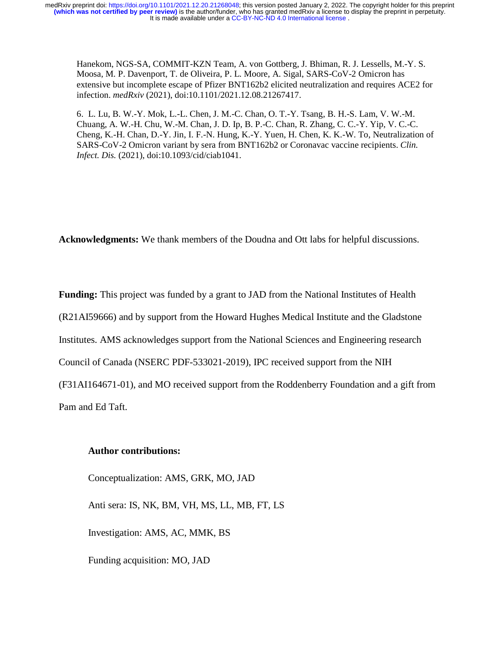It is made available under a [CC-BY-NC-ND 4.0 International license](http://creativecommons.org/licenses/by-nc-nd/4.0/) . **(which was not certified by peer review)** is the author/funder, who has granted medRxiv a license to display the preprint in perpetuity. medRxiv preprint doi: [https://doi.org/10.1101/2021.12.20.21268048;](https://doi.org/10.1101/2021.12.20.21268048) this version posted January 2, 2022. The copyright holder for this preprint

Hanekom, NGS-SA, COMMIT-KZN Team, A. von Gottberg, J. Bhiman, R. J. Lessells, M.-Y. S. Moosa, M. P. Davenport, T. de Oliveira, P. L. Moore, A. Sigal, SARS-CoV-2 Omicron has extensive but incomplete escape of Pfizer BNT162b2 elicited neutralization and requires ACE2 for infection. *medRxiv* (2021), doi:10.1101/2021.12.08.21267417.

6. L. Lu, B. W.-Y. Mok, L.-L. Chen, J. M.-C. Chan, O. T.-Y. Tsang, B. H.-S. Lam, V. W.-M. Chuang, A. W.-H. Chu, W.-M. Chan, J. D. Ip, B. P.-C. Chan, R. Zhang, C. C.-Y. Yip, V. C.-C. Cheng, K.-H. Chan, D.-Y. Jin, I. F.-N. Hung, K.-Y. Yuen, H. Chen, K. K.-W. To, Neutralization of SARS-CoV-2 Omicron variant by sera from BNT162b2 or Coronavac vaccine recipients. *Clin. Infect. Dis.* (2021), doi:10.1093/cid/ciab1041.

**Acknowledgments:** We thank members of the Doudna and Ott labs for helpful discussions.

**Funding:** This project was funded by a grant to JAD from the National Institutes of Health (R21AI59666) and by support from the Howard Hughes Medical Institute and the Gladstone Institutes. AMS acknowledges support from the National Sciences and Engineering research Council of Canada (NSERC PDF-533021-2019), IPC received support from the NIH (F31AI164671-01), and MO received support from the Roddenberry Foundation and a gift from Pam and Ed Taft.

#### **Author contributions:**

Conceptualization: AMS, GRK, MO, JAD

Anti sera: IS, NK, BM, VH, MS, LL, MB, FT, LS

Investigation: AMS, AC, MMK, BS

Funding acquisition: MO, JAD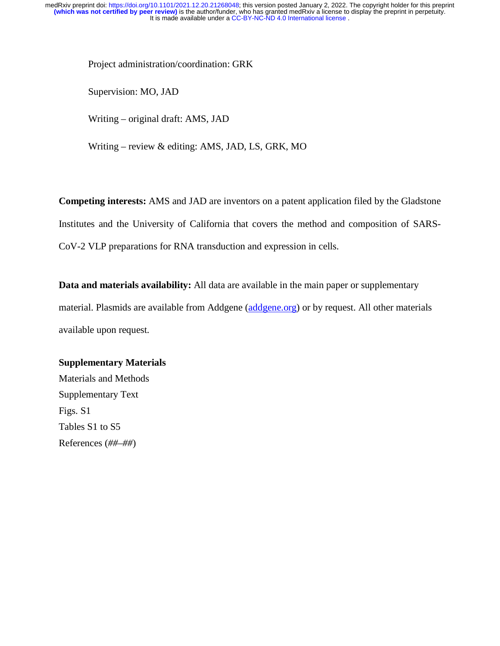Project administration/coordination: GRK

Supervision: MO, JAD

Writing – original draft: AMS, JAD

Writing – review & editing: AMS, JAD, LS, GRK, MO

**Competing interests:** AMS and JAD are inventors on a patent application filed by the Gladstone Institutes and the University of California that covers the method and composition of SARS-CoV-2 VLP preparations for RNA transduction and expression in cells.

**Data and materials availability:** All data are available in the main paper or supplementary material. Plasmids are available from Addgene (addgene.org) or by request. All other materials available upon request.

### **Supplementary Materials**

Materials and Methods Supplementary Text Figs. S1 Tables S1 to S5 References (*##*–*##*)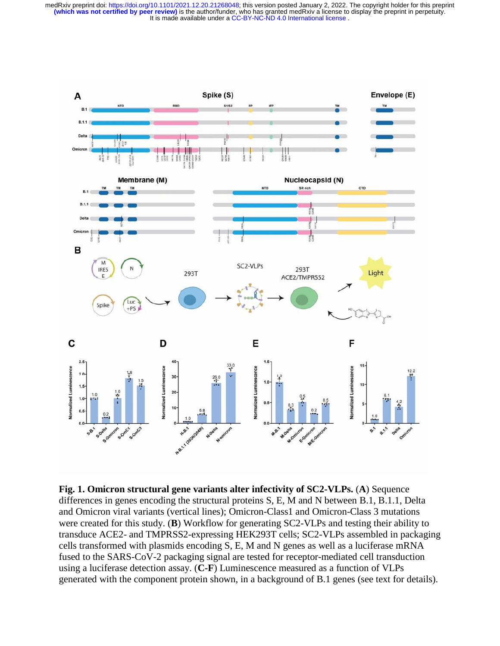From the author/funder, who has granted medRxiv a license to display the preprint in perpetuity.<br>**(which was not certified by peer review)** is the author/funder, who has granted medRxiv a license to display the preprint in medRxiv preprint doi: [https://doi.org/10.1101/2021.12.20.21268048;](https://doi.org/10.1101/2021.12.20.21268048) this version posted January 2, 2022. The copyright holder for this preprint



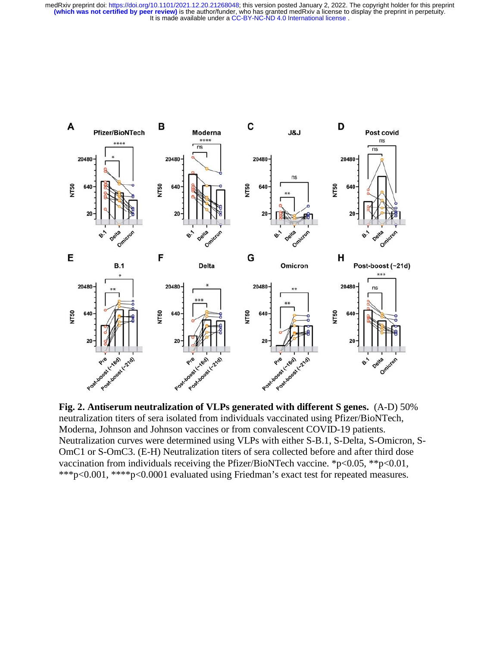It is made available under a [CC-BY-NC-ND 4.0 International license](http://creativecommons.org/licenses/by-nc-nd/4.0/) . **(which was not certified by peer review)** is the author/funder, who has granted medRxiv a license to display the preprint in perpetuity. medRxiv preprint doi: [https://doi.org/10.1101/2021.12.20.21268048;](https://doi.org/10.1101/2021.12.20.21268048) this version posted January 2, 2022. The copyright holder for this preprint



**Fig. 2. Antiserum neutralization of VLPs generated with different S genes.** (A-D) 50% neutralization titers of sera isolated from individuals vaccinated using Pfizer/BioNTech, Moderna, Johnson and Johnson vaccines or from convalescent COVID-19 patients. Neutralization curves were determined using VLPs with either S-B.1, S-Delta, S-Omicron, S-OmC1 or S-OmC3. (E-H) Neutralization titers of sera collected before and after third dose vaccination from individuals receiving the Pfizer/BioNTech vaccine. \*p<0.05, \*\*p<0.01, \*\*\*p<0.001, \*\*\*\*p<0.0001 evaluated using Friedman's exact test for repeated measures.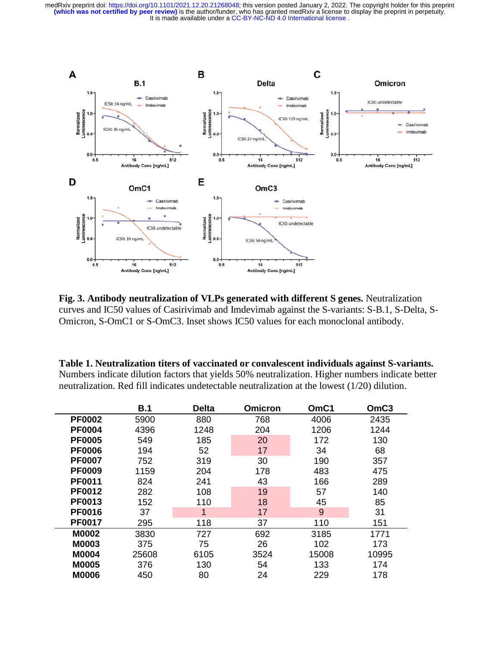

**Fig. 3. Antibody neutralization of VLPs generated with different S genes.** Neutralization curves and IC50 values of Casirivimab and Imdevimab against the S-variants: S-B.1, S-Delta, S-Omicron, S-OmC1 or S-OmC3. Inset shows IC50 values for each monoclonal antibody.

| Table 1. Neutralization titers of vaccinated or convalescent individuals against S-variants.     |
|--------------------------------------------------------------------------------------------------|
| Numbers indicate dilution factors that yields 50% neutralization. Higher numbers indicate better |
| neutralization. Red fill indicates undetectable neutralization at the lowest $(1/20)$ dilution.  |

|               | B.1   | <b>Delta</b> | <b>Omicron</b> | OmC1  | OmC <sub>3</sub> |
|---------------|-------|--------------|----------------|-------|------------------|
| <b>PF0002</b> | 5900  | 880          | 768            | 4006  | 2435             |
| <b>PF0004</b> | 4396  | 1248         | 204            | 1206  | 1244             |
| <b>PF0005</b> | 549   | 185          | 20             | 172   | 130              |
| <b>PF0006</b> | 194   | 52           | 17             | 34    | 68               |
| <b>PF0007</b> | 752   | 319          | 30             | 190   | 357              |
| <b>PF0009</b> | 1159  | 204          | 178            | 483   | 475              |
| <b>PF0011</b> | 824   | 241          | 43             | 166   | 289              |
| <b>PF0012</b> | 282   | 108          | 19             | 57    | 140              |
| <b>PF0013</b> | 152   | 110          | 18             | 45    | 85               |
| <b>PF0016</b> | 37    | 1            | 17             | 9     | 31               |
| <b>PF0017</b> | 295   | 118          | 37             | 110   | 151              |
| M0002         | 3830  | 727          | 692            | 3185  | 1771             |
| M0003         | 375   | 75           | 26             | 102   | 173              |
| <b>M0004</b>  | 25608 | 6105         | 3524           | 15008 | 10995            |
| <b>M0005</b>  | 376   | 130          | 54             | 133   | 174              |
| <b>M0006</b>  | 450   | 80           | 24             | 229   | 178              |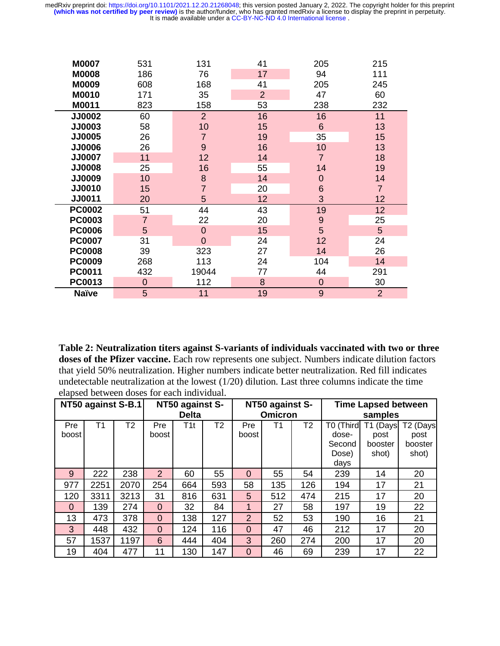| <b>M0007</b>  | 531            | 131            | 41             | 205              | 215            |
|---------------|----------------|----------------|----------------|------------------|----------------|
| <b>M0008</b>  | 186            | 76             | 17             | 94               | 111            |
| M0009         | 608            | 168            | 41             | 205              | 245            |
| M0010         | 171            | 35             | $\overline{2}$ | 47               | 60             |
| M0011         | 823            | 158            | 53             | 238              | 232            |
| JJ0002        | 60             | 2              | 16             | 16               | 11             |
| JJ0003        | 58             | 10             | 15             | 6                | 13             |
| JJ0005        | 26             | $\overline{7}$ | 19             | 35               | 15             |
| <b>JJ0006</b> | 26             | 9              | 16             | 10               | 13             |
| <b>JJ0007</b> | 11             | 12             | 14             | $\overline{7}$   | 18             |
| <b>JJ0008</b> | 25             | 16             | 55             | 14               | 19             |
| <b>JJ0009</b> | 10             | 8              | 14             | $\mathbf 0$      | 14             |
| JJ0010        | 15             | $\overline{7}$ | 20             | 6                | $\overline{7}$ |
| JJ0011        | 20             | 5              | 12             | 3                | 12             |
| <b>PC0002</b> | 51             | 44             | 43             | 19               | 12             |
| <b>PC0003</b> | $\overline{7}$ | 22             | 20             | $\boldsymbol{9}$ | 25             |
| <b>PC0006</b> | 5              | $\Omega$       | 15             | 5                | 5 <sup>5</sup> |
| <b>PC0007</b> | 31             | $\Omega$       | 24             | 12               | 24             |
| <b>PC0008</b> | 39             | 323            | 27             | 14               | 26             |
| <b>PC0009</b> | 268            | 113            | 24             | 104              | 14             |
| <b>PC0011</b> | 432            | 19044          | 77             | 44               | 291            |
| <b>PC0013</b> | $\overline{0}$ | 112            | 8              | $\mathbf 0$      | 30             |
| <b>Naïve</b>  | 5              | 11             | 19             | 9                | $\overline{2}$ |

**Table 2: Neutralization titers against S-variants of individuals vaccinated with two or three doses of the Pfizer vaccine.** Each row represents one subject. Numbers indicate dilution factors that yield 50% neutralization. Higher numbers indicate better neutralization. Red fill indicates undetectable neutralization at the lowest (1/20) dilution. Last three columns indicate the time elapsed between doses for each individual.

| NT50 against S-B.1 |                |                | NT50 against S- |                 | NT50 against S- |                 | <b>Time Lapsed between</b> |         |           |          |                      |
|--------------------|----------------|----------------|-----------------|-----------------|-----------------|-----------------|----------------------------|---------|-----------|----------|----------------------|
|                    |                |                |                 | <b>Delta</b>    |                 | <b>Omicron</b>  |                            | samples |           |          |                      |
| Pre                | T <sub>1</sub> | T <sub>2</sub> | Pre             | T <sub>1t</sub> | T2              | Pre             | Τ1                         | T2      | T0 (Third | T1 (Days | T <sub>2</sub> (Days |
| boost              |                |                | boost           |                 |                 | boost           |                            |         | dose-     | post     | post                 |
|                    |                |                |                 |                 |                 |                 |                            |         | Second    | booster  | booster              |
|                    |                |                |                 |                 |                 |                 |                            |         | Dose)     | shot)    | shot)                |
|                    |                |                |                 |                 |                 |                 |                            |         | days      |          |                      |
| 9                  | 222            | 238            | $\overline{2}$  | 60              | 55              | $\overline{0}$  | 55                         | 54      | 239       | 14       | 20                   |
| 977                | 2251           | 2070           | 254             | 664             | 593             | 58              | 135                        | 126     | 194       | 17       | 21                   |
| 120                | 3311           | 3213           | 31              | 816             | 631             | $5\overline{)}$ | 512                        | 474     | 215       | 17       | 20                   |
| $\Omega$           | 139            | 274            | $\overline{0}$  | 32              | 84              | 1               | 27                         | 58      | 197       | 19       | 22                   |
| 13                 | 473            | 378            | $\Omega$        | 138             | 127             | 2               | 52                         | 53      | 190       | 16       | 21                   |
| 3                  | 448            | 432            | $\overline{0}$  | 124             | 116             | $\overline{0}$  | 47                         | 46      | 212       | 17       | 20                   |
| 57                 | 1537           | 1197           | 6               | 444             | 404             | 3               | 260                        | 274     | 200       | 17       | 20                   |
| 19                 | 404            | 477            | 11              | 130             | 147             | $\Omega$        | 46                         | 69      | 239       | 17       | 22                   |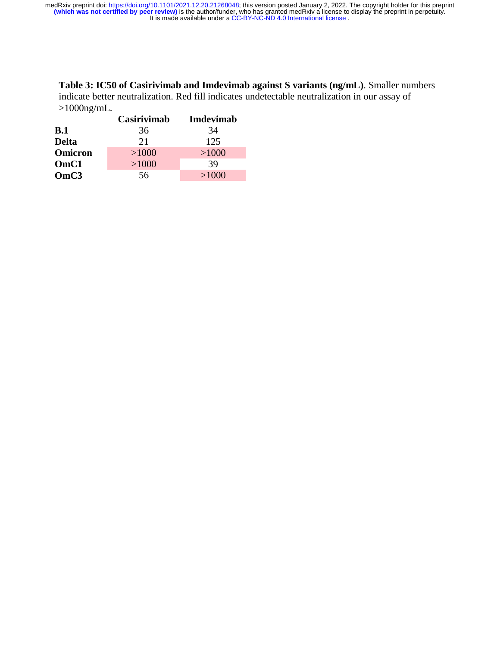**Table 3: IC50 of Casirivimab and Imdevimab against S variants (ng/mL)**. Smaller numbers indicate better neutralization. Red fill indicates undetectable neutralization in our assay of >1000ng/mL.

|                | Casirivimab | <b>Imdevimab</b> |
|----------------|-------------|------------------|
| B.1            | 36          | 34               |
| <b>Delta</b>   | 21          | 125              |
| <b>Omicron</b> | >1000       | >1000            |
| OmC1           | >1000       | 39               |
| OmC3           | 56          | >1000            |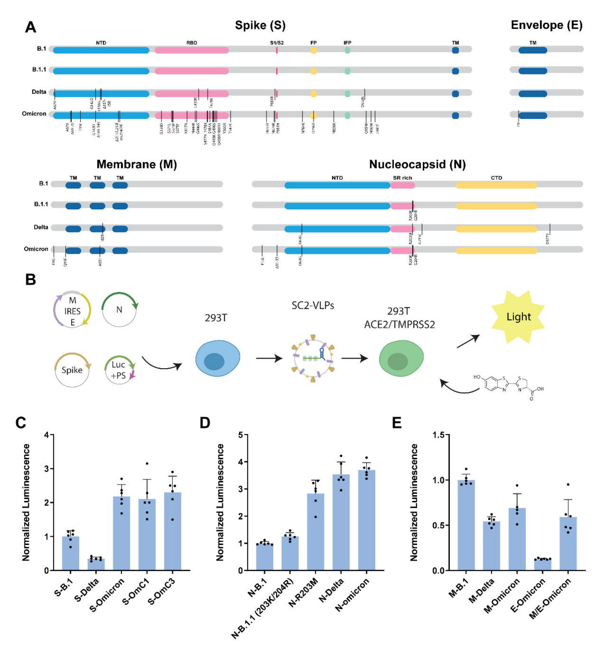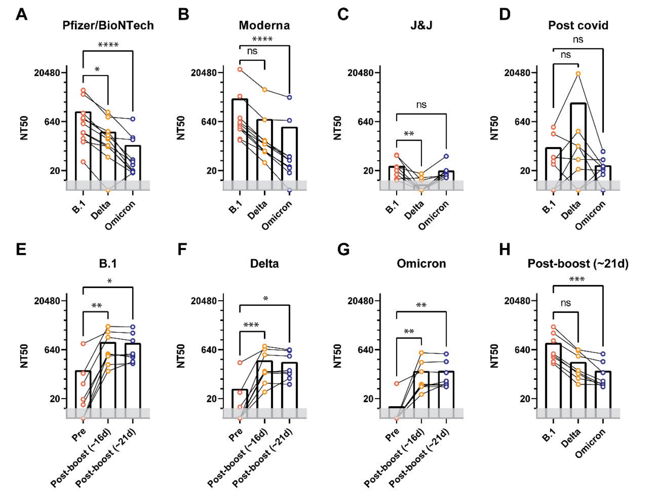



Post-boost (~21d)

 $***$  $20480$ ns NT50 64 20 oater of e.